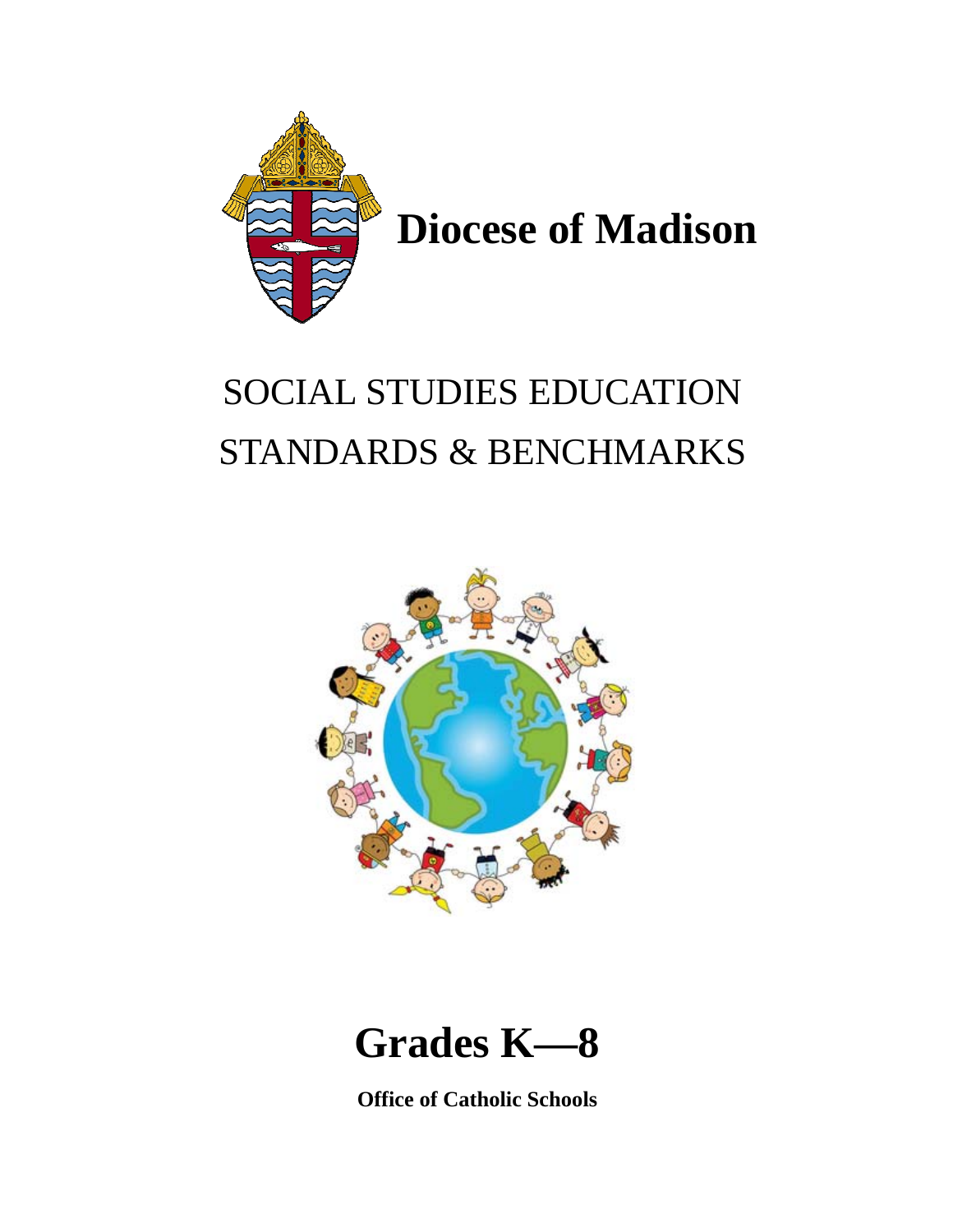

# SOCIAL STUDIES EDUCATION STANDARDS & BENCHMARKS



## **Grades K—8**

**Office of Catholic Schools**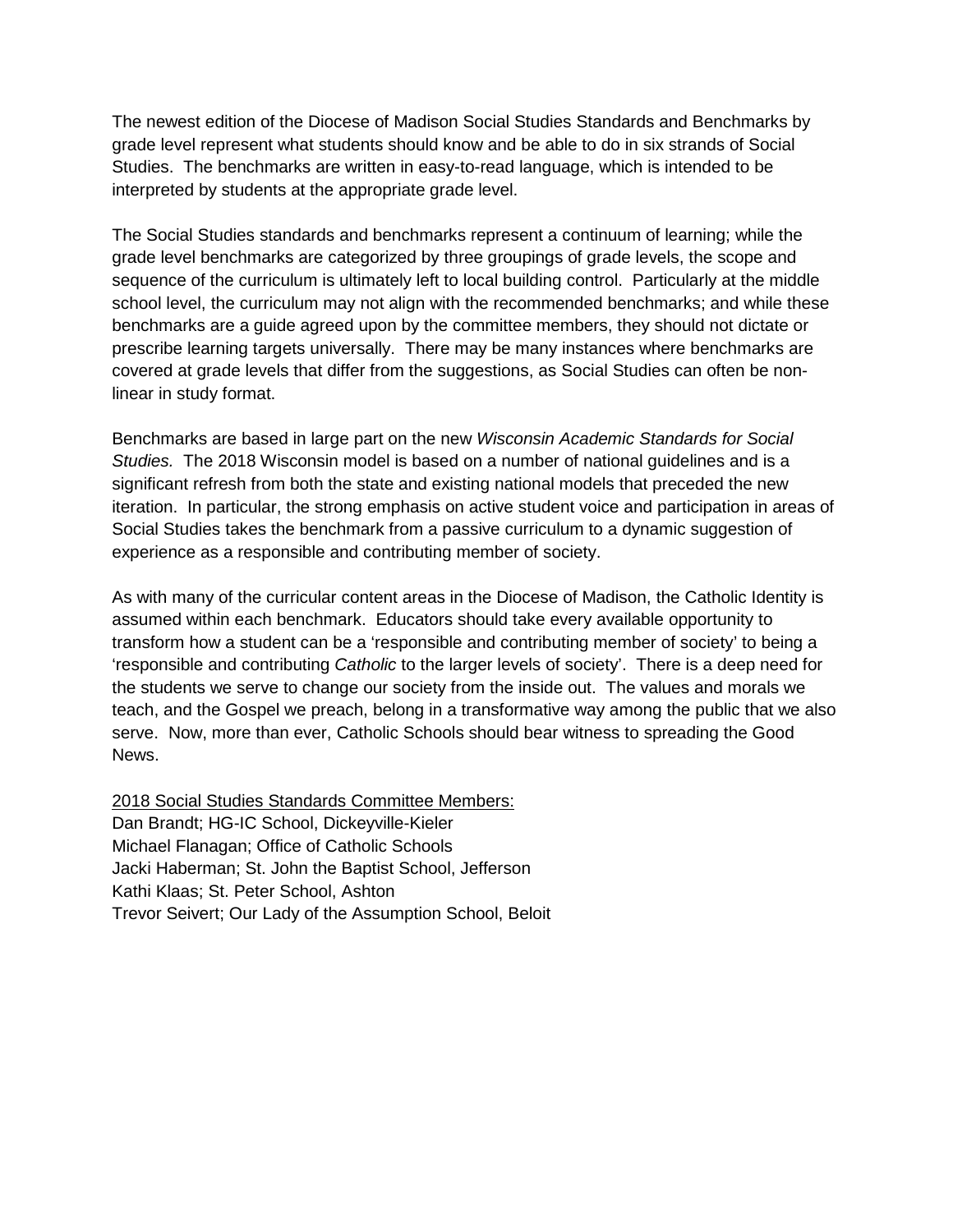The newest edition of the Diocese of Madison Social Studies Standards and Benchmarks by grade level represent what students should know and be able to do in six strands of Social Studies. The benchmarks are written in easy-to-read language, which is intended to be interpreted by students at the appropriate grade level.

The Social Studies standards and benchmarks represent a continuum of learning; while the grade level benchmarks are categorized by three groupings of grade levels, the scope and sequence of the curriculum is ultimately left to local building control. Particularly at the middle school level, the curriculum may not align with the recommended benchmarks; and while these benchmarks are a guide agreed upon by the committee members, they should not dictate or prescribe learning targets universally. There may be many instances where benchmarks are covered at grade levels that differ from the suggestions, as Social Studies can often be nonlinear in study format.

Benchmarks are based in large part on the new *Wisconsin Academic Standards for Social Studies.* The 2018 Wisconsin model is based on a number of national guidelines and is a significant refresh from both the state and existing national models that preceded the new iteration. In particular, the strong emphasis on active student voice and participation in areas of Social Studies takes the benchmark from a passive curriculum to a dynamic suggestion of experience as a responsible and contributing member of society.

As with many of the curricular content areas in the Diocese of Madison, the Catholic Identity is assumed within each benchmark. Educators should take every available opportunity to transform how a student can be a 'responsible and contributing member of society' to being a 'responsible and contributing *Catholic* to the larger levels of society'. There is a deep need for the students we serve to change our society from the inside out. The values and morals we teach, and the Gospel we preach, belong in a transformative way among the public that we also serve. Now, more than ever, Catholic Schools should bear witness to spreading the Good News.

2018 Social Studies Standards Committee Members: Dan Brandt; HG-IC School, Dickeyville-Kieler Michael Flanagan; Office of Catholic Schools Jacki Haberman; St. John the Baptist School, Jefferson Kathi Klaas; St. Peter School, Ashton Trevor Seivert; Our Lady of the Assumption School, Beloit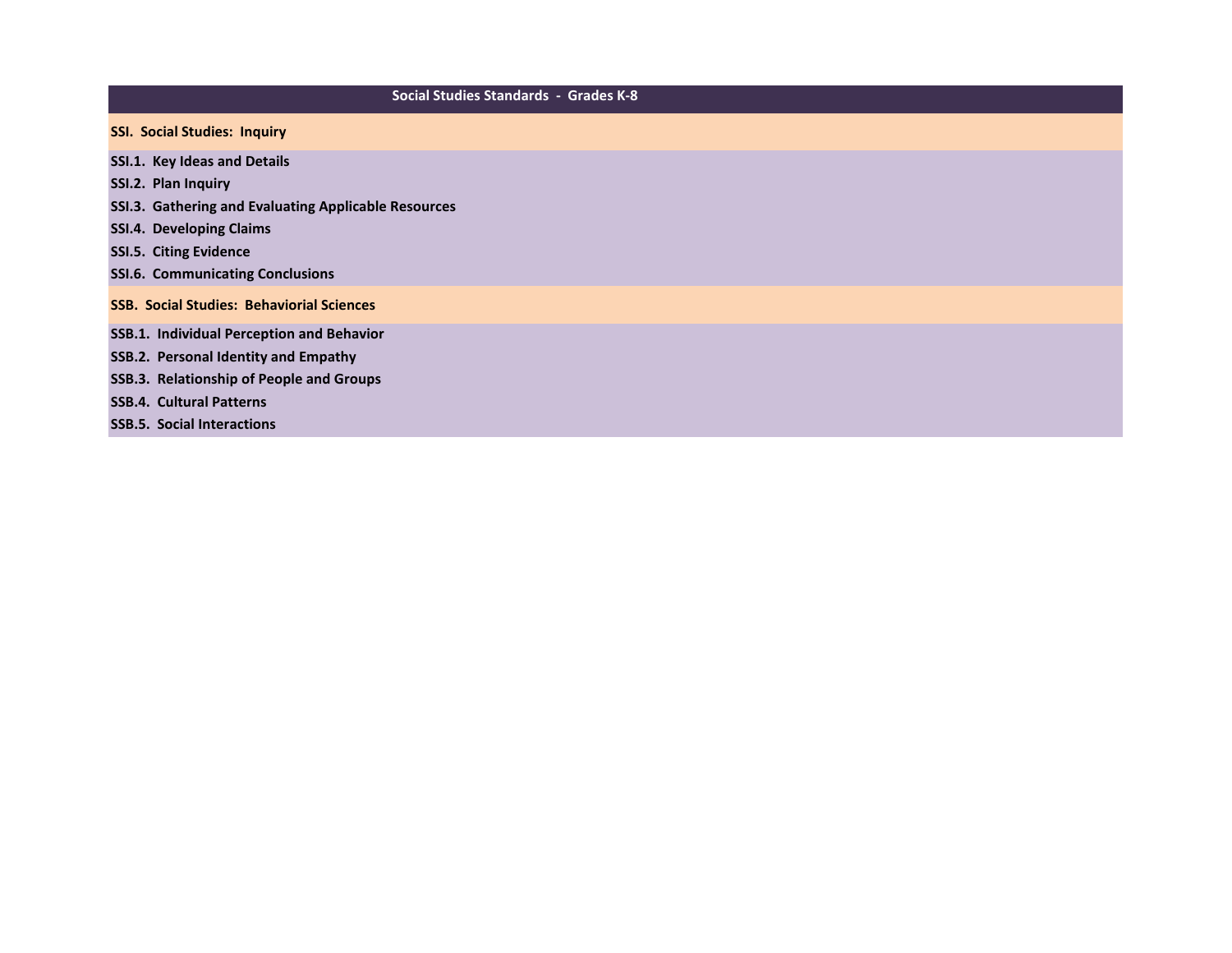### **Social Studies Standards - Grades K-8**

- **SSI. Social Studies: Inquiry**
- **SSI.1. Key Ideas and Details**
- **SSI.2. Plan Inquiry**
- **SSI.3. Gathering and Evaluating Applicable Resources**
- **SSI.4. Developing Claims**
- **SSI.5. Citing Evidence**
- **SSI.6. Communicating Conclusions**
- **SSB. Social Studies: Behaviorial Sciences**
- **SSB.1. Individual Perception and Behavior**
- **SSB.2. Personal Identity and Empathy**
- **SSB.3. Relationship of People and Groups**
- **SSB.4. Cultural Patterns**
- **SSB.5. Social Interactions**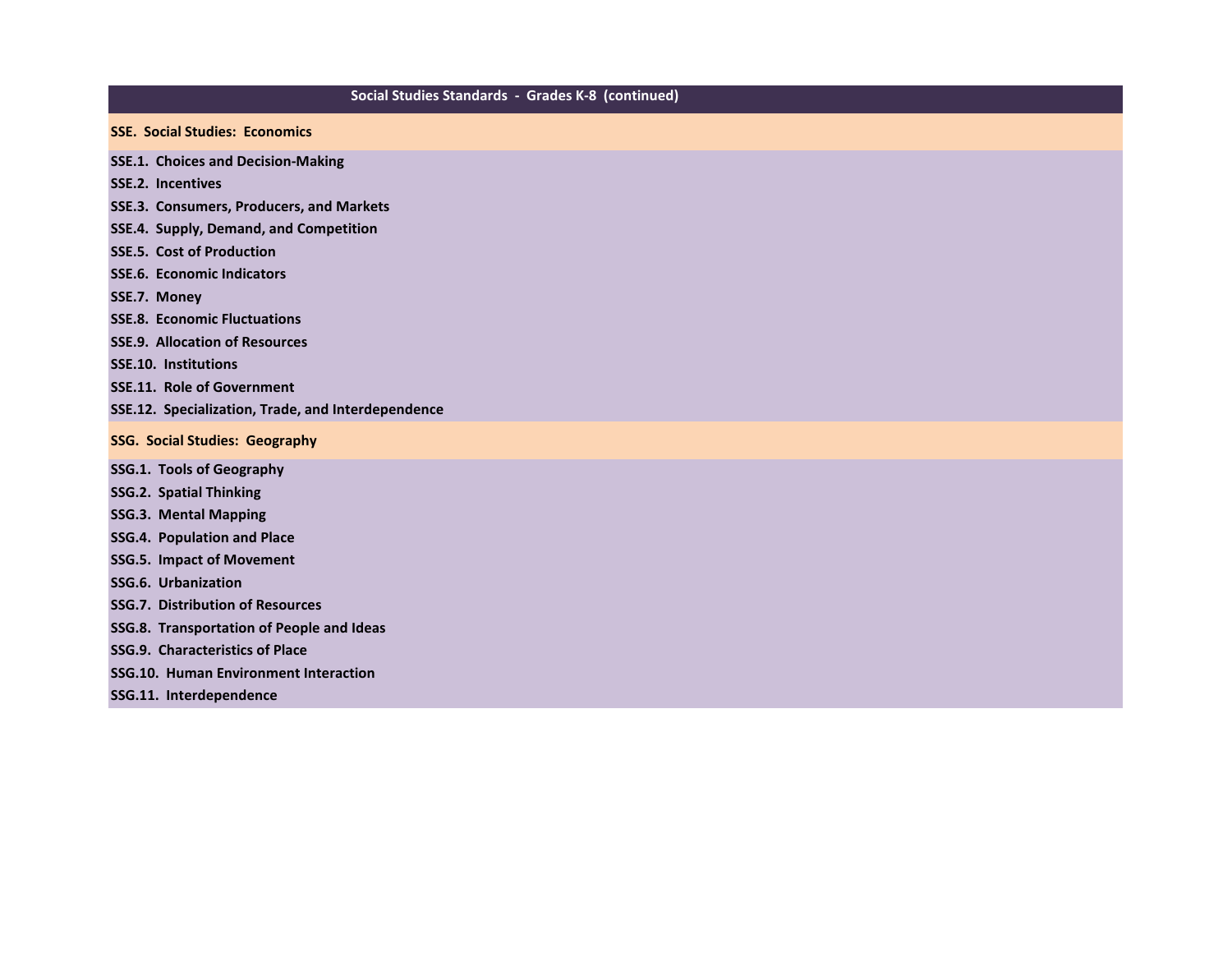### **Social Studies Standards - Grades K-8 (continued)**

**SSE. Social Studies: Economics**

**SSE.1. Choices and Decision-Making**

**SSE.2. Incentives**

- **SSE.3. Consumers, Producers, and Markets**
- **SSE.4. Supply, Demand, and Competition**
- **SSE.5. Cost of Production**
- **SSE.6. Economic Indicators**
- **SSE.7. Money**
- **SSE.8. Economic Fluctuations**
- **SSE.9. Allocation of Resources**
- **SSE.10. Institutions**
- **SSE.11. Role of Government**
- **SSE.12. Specialization, Trade, and Interdependence**
- **SSG. Social Studies: Geography**
- **SSG.1. Tools of Geography**
- **SSG.2. Spatial Thinking**
- **SSG.3. Mental Mapping**
- **SSG.4. Population and Place**
- **SSG.5. Impact of Movement**
- **SSG.6. Urbanization**
- **SSG.7. Distribution of Resources**
- **SSG.8. Transportation of People and Ideas**
- **SSG.9. Characteristics of Place**
- **SSG.10. Human Environment Interaction**
- **SSG.11. Interdependence**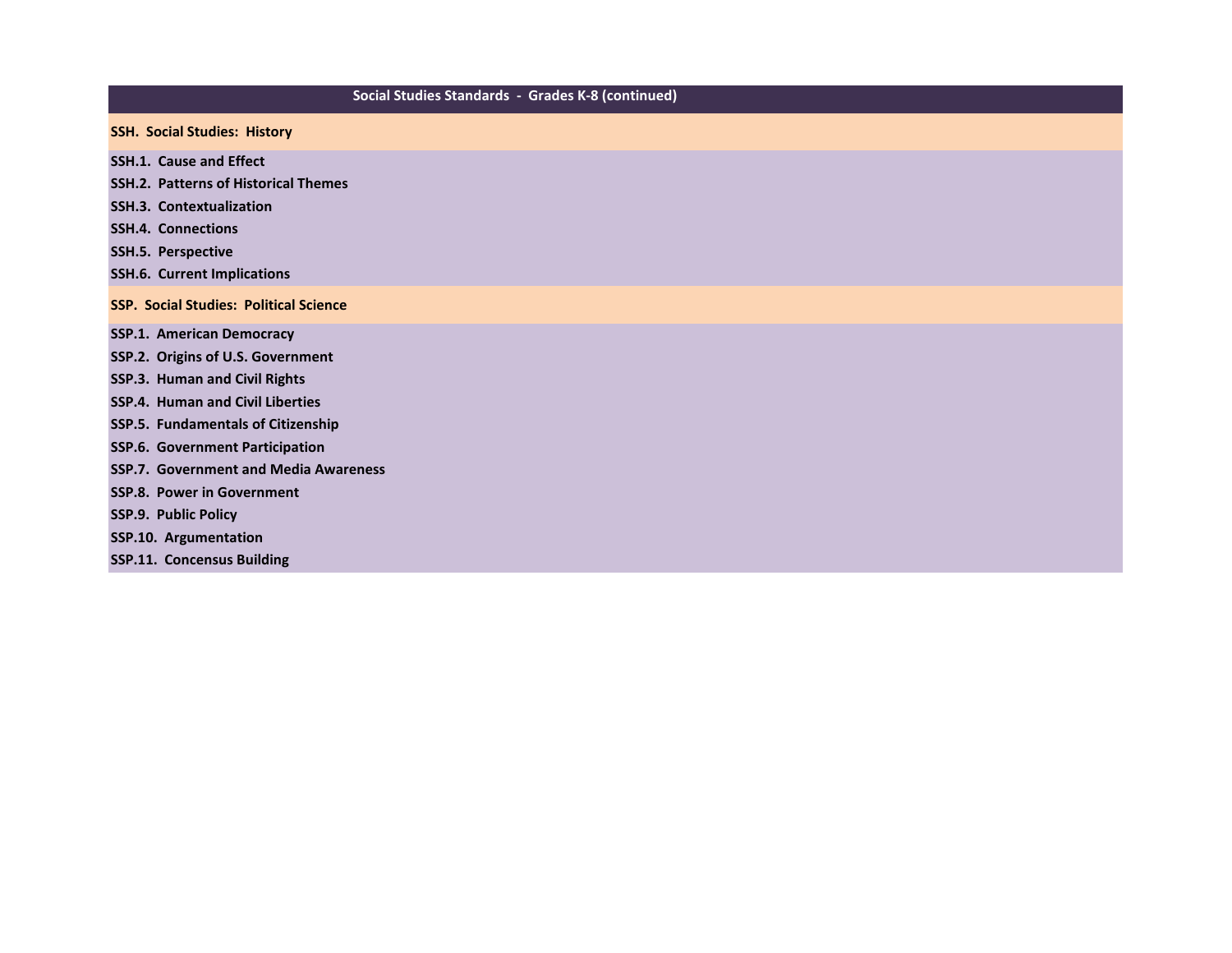### **Social Studies Standards - Grades K-8 (continued)**

- **SSH. Social Studies: History**
- **SSH.1. Cause and Effect**
- **SSH.2. Patterns of Historical Themes**
- **SSH.3. Contextualization**
- **SSH.4. Connections**
- **SSH.5. Perspective**
- **SSH.6. Current Implications**
- **SSP. Social Studies: Political Science**
- **SSP.1. American Democracy**
- **SSP.2. Origins of U.S. Government**
- **SSP.3. Human and Civil Rights**
- **SSP.4. Human and Civil Liberties**
- **SSP.5. Fundamentals of Citizenship**
- **SSP.6. Government Participation**
- **SSP.7. Government and Media Awareness**
- **SSP.8. Power in Government**
- **SSP.9. Public Policy**
- **SSP.10. Argumentation**
- **SSP.11. Concensus Building**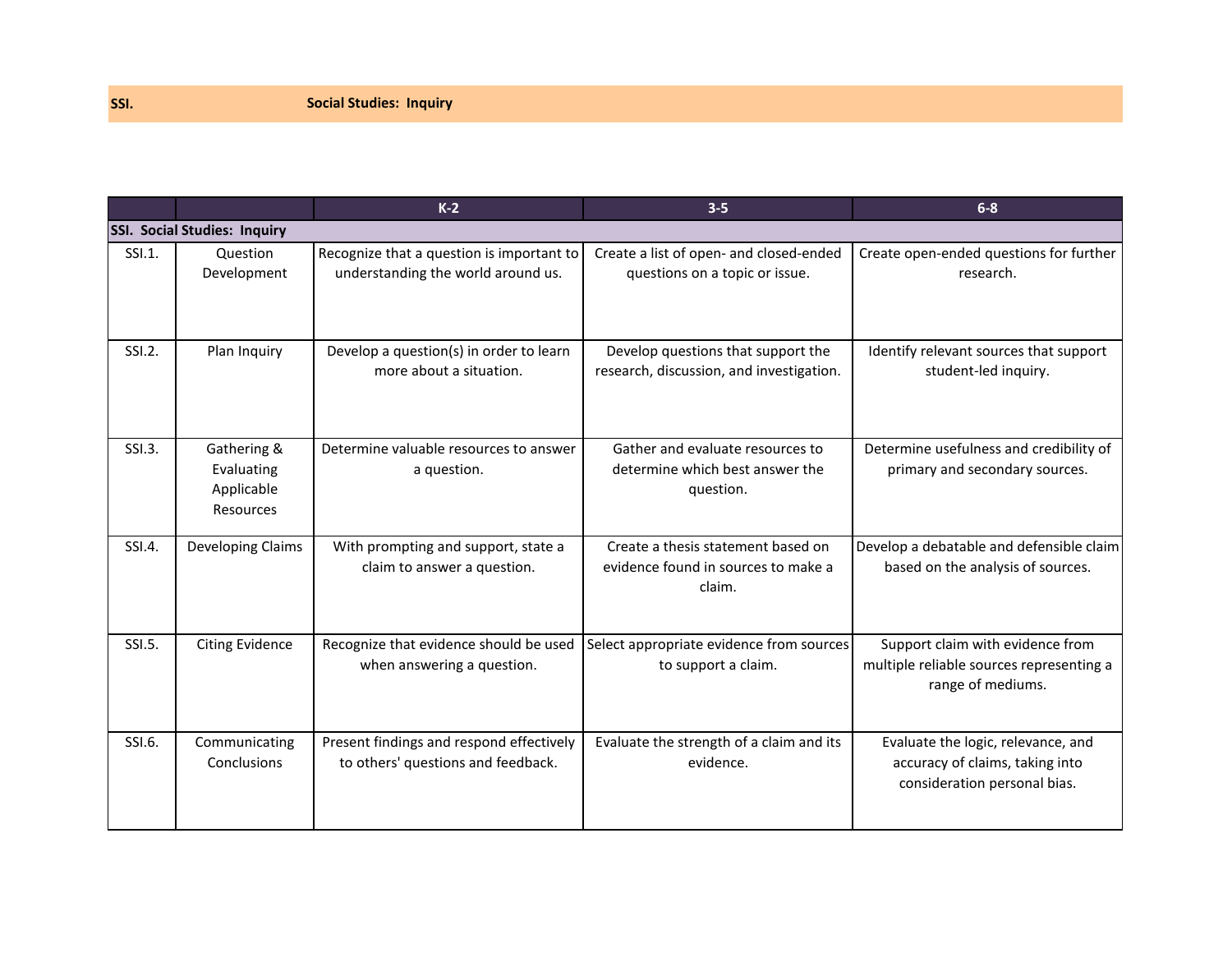|        |                                                      | $K-2$                                                                           | $3 - 5$                                                                             | $6-8$                                                                                                 |
|--------|------------------------------------------------------|---------------------------------------------------------------------------------|-------------------------------------------------------------------------------------|-------------------------------------------------------------------------------------------------------|
|        | <b>SSI. Social Studies: Inquiry</b>                  |                                                                                 |                                                                                     |                                                                                                       |
| SSI.1. | Question<br>Development                              | Recognize that a question is important to<br>understanding the world around us. | Create a list of open- and closed-ended<br>questions on a topic or issue.           | Create open-ended questions for further<br>research.                                                  |
| SSI.2. | Plan Inquiry                                         | Develop a question(s) in order to learn<br>more about a situation.              | Develop questions that support the<br>research, discussion, and investigation.      | Identify relevant sources that support<br>student-led inquiry.                                        |
| SSI.3. | Gathering &<br>Evaluating<br>Applicable<br>Resources | Determine valuable resources to answer<br>a question.                           | Gather and evaluate resources to<br>determine which best answer the<br>question.    | Determine usefulness and credibility of<br>primary and secondary sources.                             |
| SSI.4. | Developing Claims                                    | With prompting and support, state a<br>claim to answer a question.              | Create a thesis statement based on<br>evidence found in sources to make a<br>claim. | Develop a debatable and defensible claim<br>based on the analysis of sources.                         |
| SSI.5. | <b>Citing Evidence</b>                               | Recognize that evidence should be used<br>when answering a question.            | Select appropriate evidence from sources<br>to support a claim.                     | Support claim with evidence from<br>multiple reliable sources representing a<br>range of mediums.     |
| SSI.6. | Communicating<br>Conclusions                         | Present findings and respond effectively<br>to others' questions and feedback.  | Evaluate the strength of a claim and its<br>evidence.                               | Evaluate the logic, relevance, and<br>accuracy of claims, taking into<br>consideration personal bias. |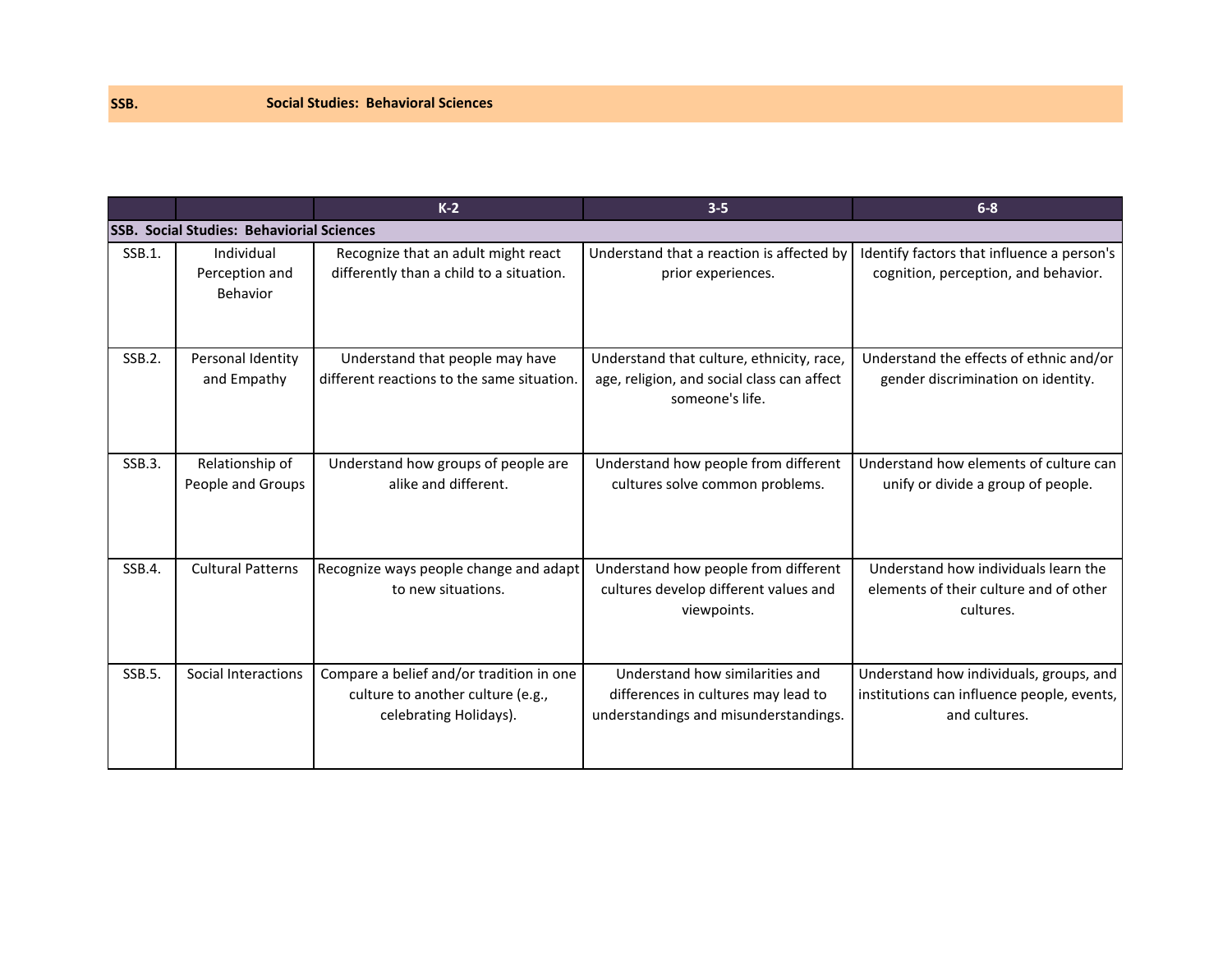|        |                                                  | $K-2$                                                                                                   | $3 - 5$                                                                                                         | $6 - 8$                                                                                                |
|--------|--------------------------------------------------|---------------------------------------------------------------------------------------------------------|-----------------------------------------------------------------------------------------------------------------|--------------------------------------------------------------------------------------------------------|
|        | <b>SSB. Social Studies: Behaviorial Sciences</b> |                                                                                                         |                                                                                                                 |                                                                                                        |
| SSB.1. | Individual<br>Perception and<br>Behavior         | Recognize that an adult might react<br>differently than a child to a situation.                         | Understand that a reaction is affected by<br>prior experiences.                                                 | Identify factors that influence a person's<br>cognition, perception, and behavior.                     |
| SSB.2. | Personal Identity<br>and Empathy                 | Understand that people may have<br>different reactions to the same situation.                           | Understand that culture, ethnicity, race,<br>age, religion, and social class can affect<br>someone's life.      | Understand the effects of ethnic and/or<br>gender discrimination on identity.                          |
| SSB.3. | Relationship of<br>People and Groups             | Understand how groups of people are<br>alike and different.                                             | Understand how people from different<br>cultures solve common problems.                                         | Understand how elements of culture can<br>unify or divide a group of people.                           |
| SSB.4. | <b>Cultural Patterns</b>                         | Recognize ways people change and adapt<br>to new situations.                                            | Understand how people from different<br>cultures develop different values and<br>viewpoints.                    | Understand how individuals learn the<br>elements of their culture and of other<br>cultures.            |
| SSB.5. | Social Interactions                              | Compare a belief and/or tradition in one<br>culture to another culture (e.g.,<br>celebrating Holidays). | Understand how similarities and<br>differences in cultures may lead to<br>understandings and misunderstandings. | Understand how individuals, groups, and<br>institutions can influence people, events,<br>and cultures. |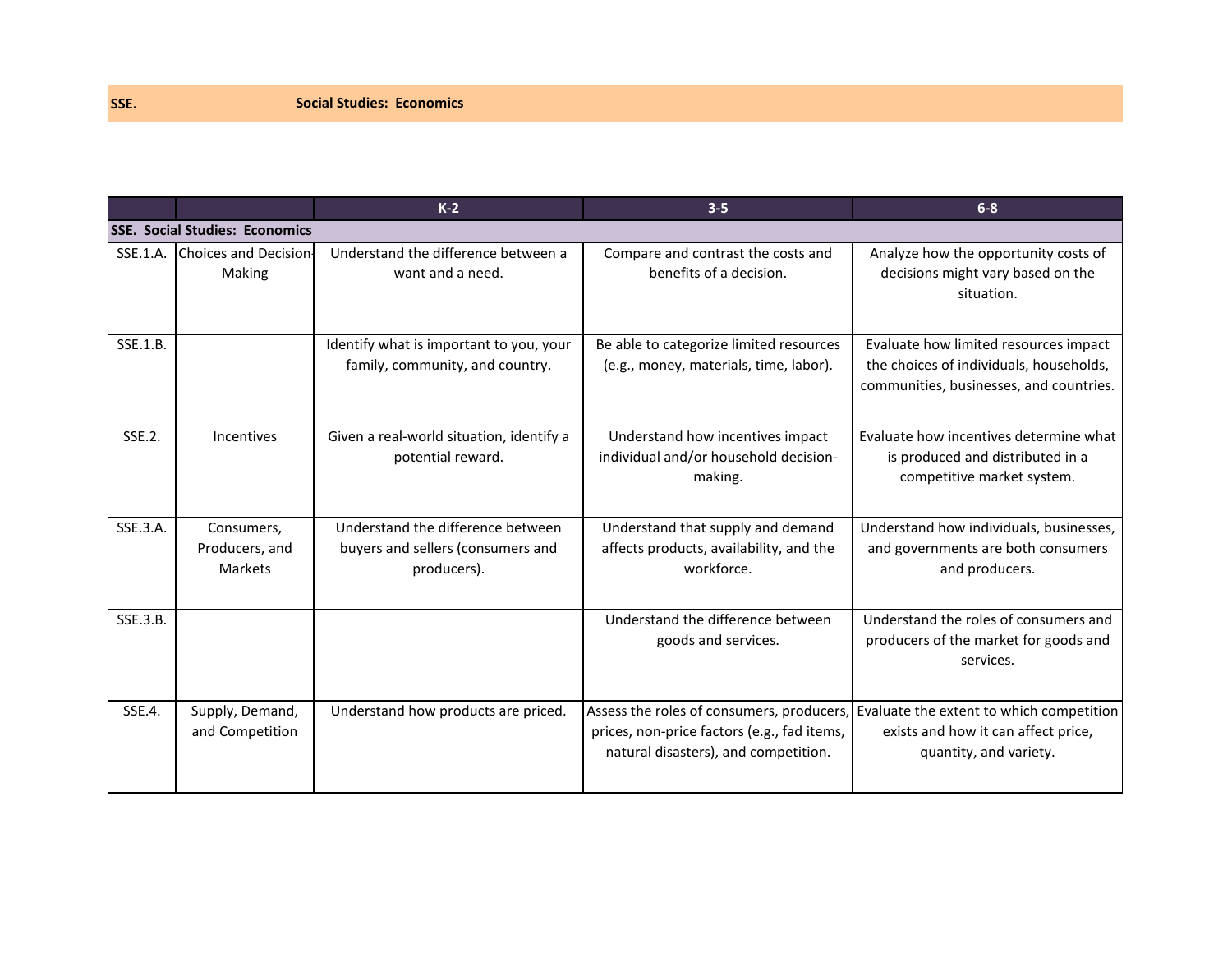|          |                                         | $K-2$                                                                                 | $3-5$                                                                                                                            | $6 - 8$                                                                                                                     |
|----------|-----------------------------------------|---------------------------------------------------------------------------------------|----------------------------------------------------------------------------------------------------------------------------------|-----------------------------------------------------------------------------------------------------------------------------|
|          | <b>SSE. Social Studies: Economics</b>   |                                                                                       |                                                                                                                                  |                                                                                                                             |
|          | SSE.1.A. Choices and Decision<br>Making | Understand the difference between a<br>want and a need.                               | Compare and contrast the costs and<br>benefits of a decision.                                                                    | Analyze how the opportunity costs of<br>decisions might vary based on the<br>situation.                                     |
| SSE.1.B. |                                         | Identify what is important to you, your<br>family, community, and country.            | Be able to categorize limited resources<br>(e.g., money, materials, time, labor).                                                | Evaluate how limited resources impact<br>the choices of individuals, households,<br>communities, businesses, and countries. |
| SSE.2.   | Incentives                              | Given a real-world situation, identify a<br>potential reward.                         | Understand how incentives impact<br>individual and/or household decision-<br>making.                                             | Evaluate how incentives determine what<br>is produced and distributed in a<br>competitive market system.                    |
| SSE.3.A. | Consumers,<br>Producers, and<br>Markets | Understand the difference between<br>buyers and sellers (consumers and<br>producers). | Understand that supply and demand<br>affects products, availability, and the<br>workforce.                                       | Understand how individuals, businesses,<br>and governments are both consumers<br>and producers.                             |
| SSE.3.B. |                                         |                                                                                       | Understand the difference between<br>goods and services.                                                                         | Understand the roles of consumers and<br>producers of the market for goods and<br>services.                                 |
| SSE.4.   | Supply, Demand,<br>and Competition      | Understand how products are priced.                                                   | Assess the roles of consumers, producers,<br>prices, non-price factors (e.g., fad items,<br>natural disasters), and competition. | Evaluate the extent to which competition<br>exists and how it can affect price,<br>quantity, and variety.                   |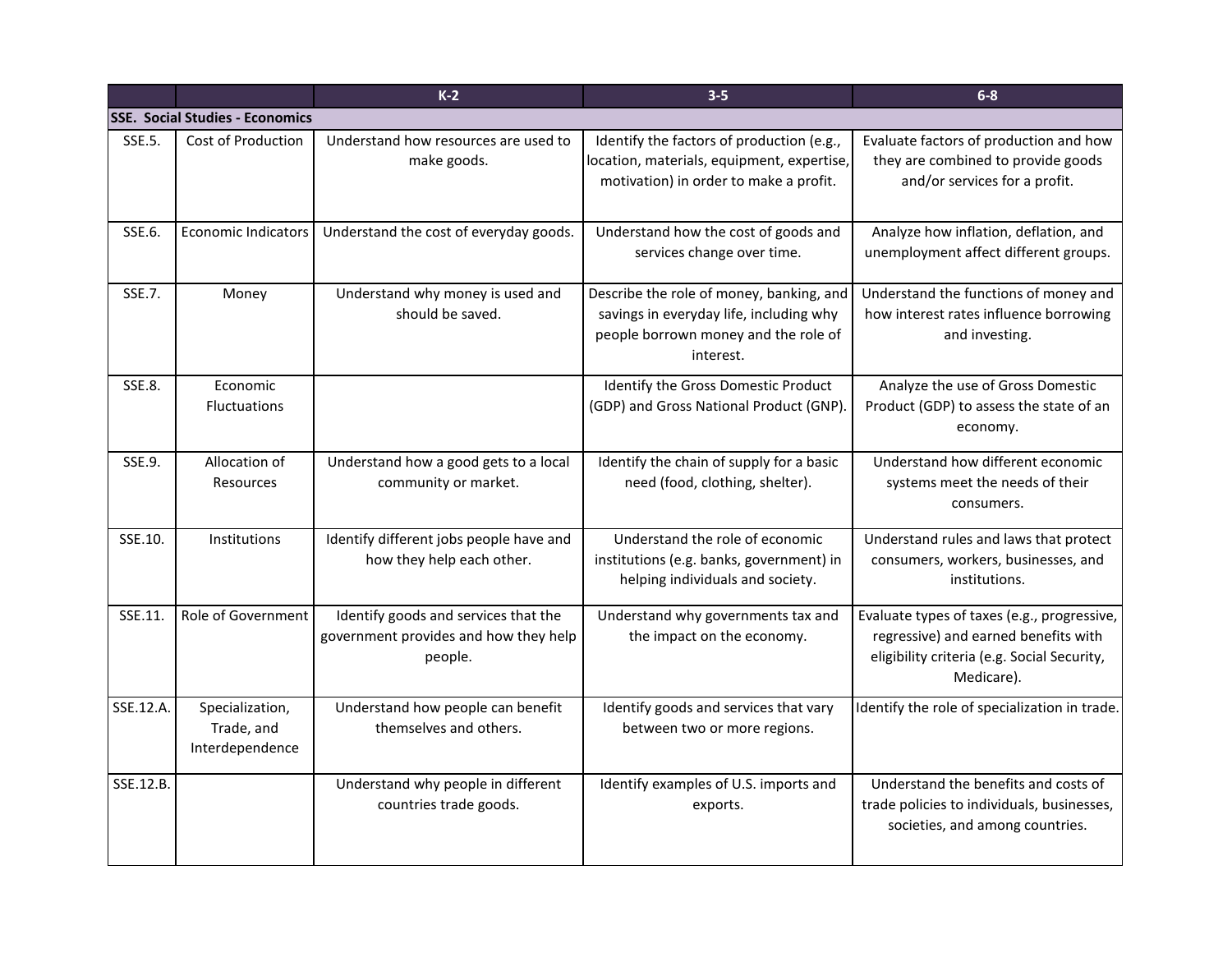|               |                                                  | $K-2$                                                                                    | $3 - 5$                                                                                                                                  | $6 - 8$                                                                                                                                          |
|---------------|--------------------------------------------------|------------------------------------------------------------------------------------------|------------------------------------------------------------------------------------------------------------------------------------------|--------------------------------------------------------------------------------------------------------------------------------------------------|
|               | <b>SSE. Social Studies - Economics</b>           |                                                                                          |                                                                                                                                          |                                                                                                                                                  |
| SSE.5.        | Cost of Production                               | Understand how resources are used to<br>make goods.                                      | Identify the factors of production (e.g.,<br>location, materials, equipment, expertise,<br>motivation) in order to make a profit.        | Evaluate factors of production and how<br>they are combined to provide goods<br>and/or services for a profit.                                    |
| SSE.6.        | <b>Economic Indicators</b>                       | Understand the cost of everyday goods.                                                   | Understand how the cost of goods and<br>services change over time.                                                                       | Analyze how inflation, deflation, and<br>unemployment affect different groups.                                                                   |
| SSE.7.        | Money                                            | Understand why money is used and<br>should be saved.                                     | Describe the role of money, banking, and<br>savings in everyday life, including why<br>people borrown money and the role of<br>interest. | Understand the functions of money and<br>how interest rates influence borrowing<br>and investing.                                                |
| <b>SSE.8.</b> | Economic<br><b>Fluctuations</b>                  |                                                                                          | Identify the Gross Domestic Product<br>(GDP) and Gross National Product (GNP)                                                            | Analyze the use of Gross Domestic<br>Product (GDP) to assess the state of an<br>economy.                                                         |
| SSE.9.        | Allocation of<br><b>Resources</b>                | Understand how a good gets to a local<br>community or market.                            | Identify the chain of supply for a basic<br>need (food, clothing, shelter).                                                              | Understand how different economic<br>systems meet the needs of their<br>consumers.                                                               |
| SSE.10.       | <b>Institutions</b>                              | Identify different jobs people have and<br>how they help each other.                     | Understand the role of economic<br>institutions (e.g. banks, government) in<br>helping individuals and society.                          | Understand rules and laws that protect<br>consumers, workers, businesses, and<br>institutions.                                                   |
| SSE.11.       | Role of Government                               | Identify goods and services that the<br>government provides and how they help<br>people. | Understand why governments tax and<br>the impact on the economy.                                                                         | Evaluate types of taxes (e.g., progressive,<br>regressive) and earned benefits with<br>eligibility criteria (e.g. Social Security,<br>Medicare). |
| SSE.12.A.     | Specialization,<br>Trade, and<br>Interdependence | Understand how people can benefit<br>themselves and others.                              | Identify goods and services that vary<br>between two or more regions.                                                                    | Identify the role of specialization in trade.                                                                                                    |
| SSE.12.B.     |                                                  | Understand why people in different<br>countries trade goods.                             | Identify examples of U.S. imports and<br>exports.                                                                                        | Understand the benefits and costs of<br>trade policies to individuals, businesses,<br>societies, and among countries.                            |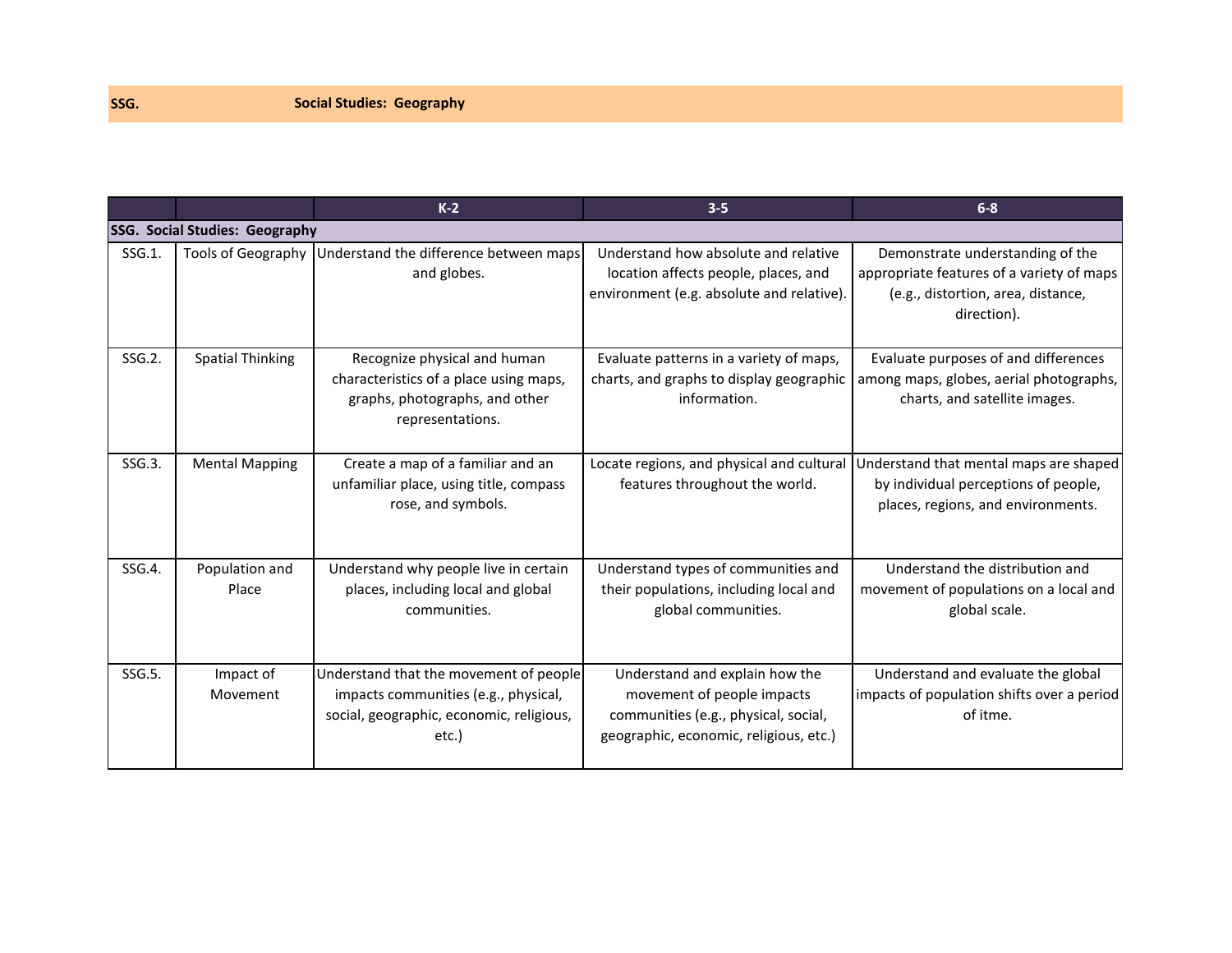|           |                                       | $K-2$                                                                                                                               | $3 - 5$                                                                                                                                        | $6 - 8$                                                                                                                                                        |
|-----------|---------------------------------------|-------------------------------------------------------------------------------------------------------------------------------------|------------------------------------------------------------------------------------------------------------------------------------------------|----------------------------------------------------------------------------------------------------------------------------------------------------------------|
|           | <b>SSG. Social Studies: Geography</b> |                                                                                                                                     |                                                                                                                                                |                                                                                                                                                                |
| SSG.1.    | <b>Tools of Geography</b>             | Understand the difference between maps<br>and globes.                                                                               | Understand how absolute and relative<br>location affects people, places, and<br>environment (e.g. absolute and relative).                      | Demonstrate understanding of the<br>appropriate features of a variety of maps<br>(e.g., distortion, area, distance,<br>direction).                             |
| SSG.2.    | <b>Spatial Thinking</b>               | Recognize physical and human<br>characteristics of a place using maps,<br>graphs, photographs, and other<br>representations.        | Evaluate patterns in a variety of maps,<br>charts, and graphs to display geographic<br>information.                                            | Evaluate purposes of and differences<br>among maps, globes, aerial photographs,<br>charts, and satellite images.                                               |
| $SSG.3$ . | <b>Mental Mapping</b>                 | Create a map of a familiar and an<br>unfamiliar place, using title, compass<br>rose, and symbols.                                   | features throughout the world.                                                                                                                 | Locate regions, and physical and cultural Understand that mental maps are shaped<br>by individual perceptions of people,<br>places, regions, and environments. |
| SSG.4.    | Population and<br>Place               | Understand why people live in certain<br>places, including local and global<br>communities.                                         | Understand types of communities and<br>their populations, including local and<br>global communities.                                           | Understand the distribution and<br>movement of populations on a local and<br>global scale.                                                                     |
| SSG.5.    | Impact of<br>Movement                 | Understand that the movement of people<br>impacts communities (e.g., physical,<br>social, geographic, economic, religious,<br>etc.) | Understand and explain how the<br>movement of people impacts<br>communities (e.g., physical, social,<br>geographic, economic, religious, etc.) | Understand and evaluate the global<br>impacts of population shifts over a period<br>of itme.                                                                   |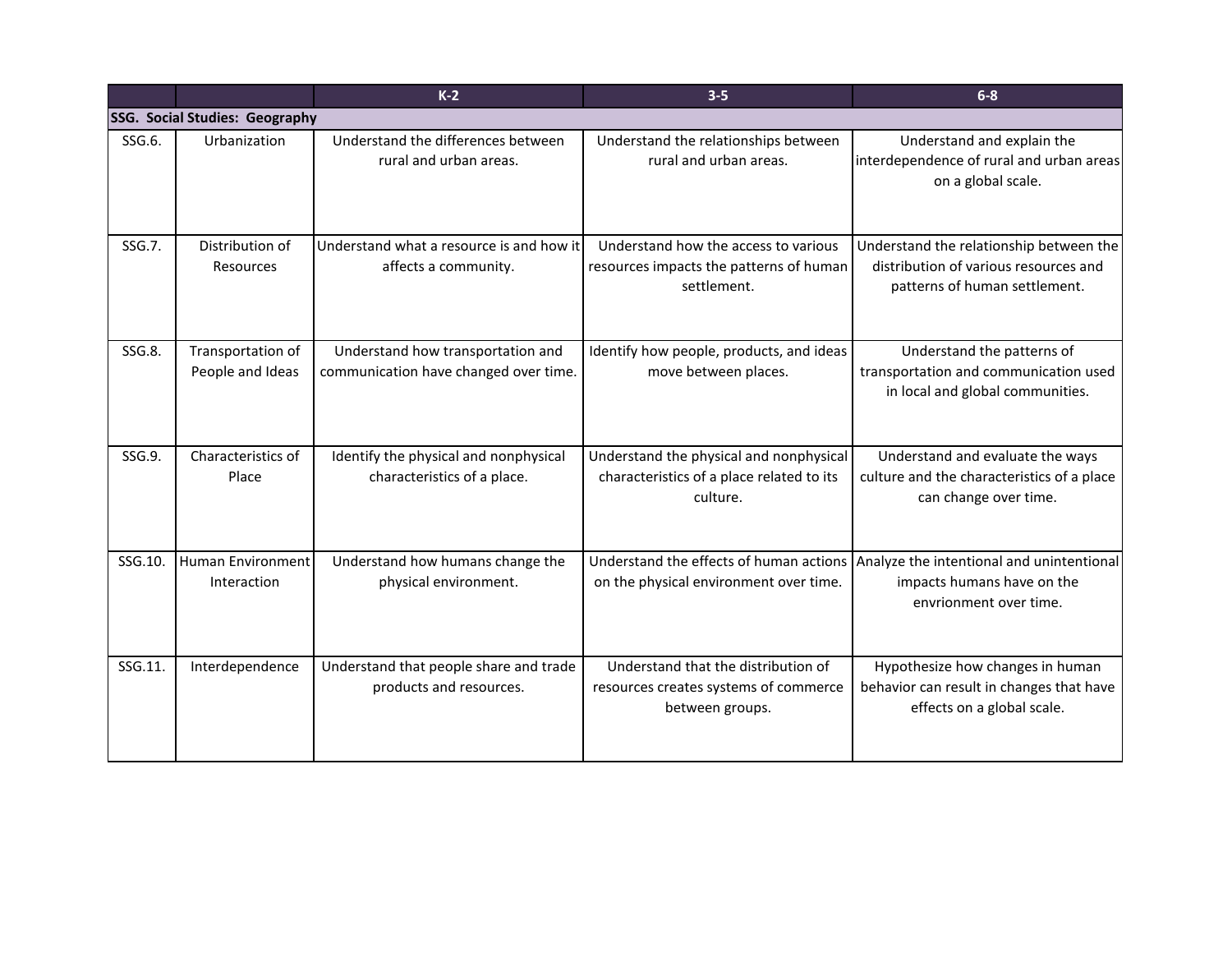|         |                                       | $K-2$                                                                      | $3 - 5$                                                                                          | $6-8$                                                                                                                                     |
|---------|---------------------------------------|----------------------------------------------------------------------------|--------------------------------------------------------------------------------------------------|-------------------------------------------------------------------------------------------------------------------------------------------|
|         | <b>SSG. Social Studies: Geography</b> |                                                                            |                                                                                                  |                                                                                                                                           |
| SSG.6.  | Urbanization                          | Understand the differences between<br>rural and urban areas.               | Understand the relationships between<br>rural and urban areas.                                   | Understand and explain the<br>interdependence of rural and urban areas<br>on a global scale.                                              |
| SSG.7.  | Distribution of<br>Resources          | Understand what a resource is and how it<br>affects a community.           | Understand how the access to various<br>resources impacts the patterns of human<br>settlement.   | Understand the relationship between the<br>distribution of various resources and<br>patterns of human settlement.                         |
| SSG.8.  | Transportation of<br>People and Ideas | Understand how transportation and<br>communication have changed over time. | Identify how people, products, and ideas<br>move between places.                                 | Understand the patterns of<br>transportation and communication used<br>in local and global communities.                                   |
| SSG.9.  | Characteristics of<br>Place           | Identify the physical and nonphysical<br>characteristics of a place.       | Understand the physical and nonphysical<br>characteristics of a place related to its<br>culture. | Understand and evaluate the ways<br>culture and the characteristics of a place<br>can change over time.                                   |
| SSG.10. | Human Environment<br>Interaction      | Understand how humans change the<br>physical environment.                  | on the physical environment over time.                                                           | Understand the effects of human actions Analyze the intentional and unintentional<br>impacts humans have on the<br>envrionment over time. |
| SSG.11. | Interdependence                       | Understand that people share and trade<br>products and resources.          | Understand that the distribution of<br>resources creates systems of commerce<br>between groups.  | Hypothesize how changes in human<br>behavior can result in changes that have<br>effects on a global scale.                                |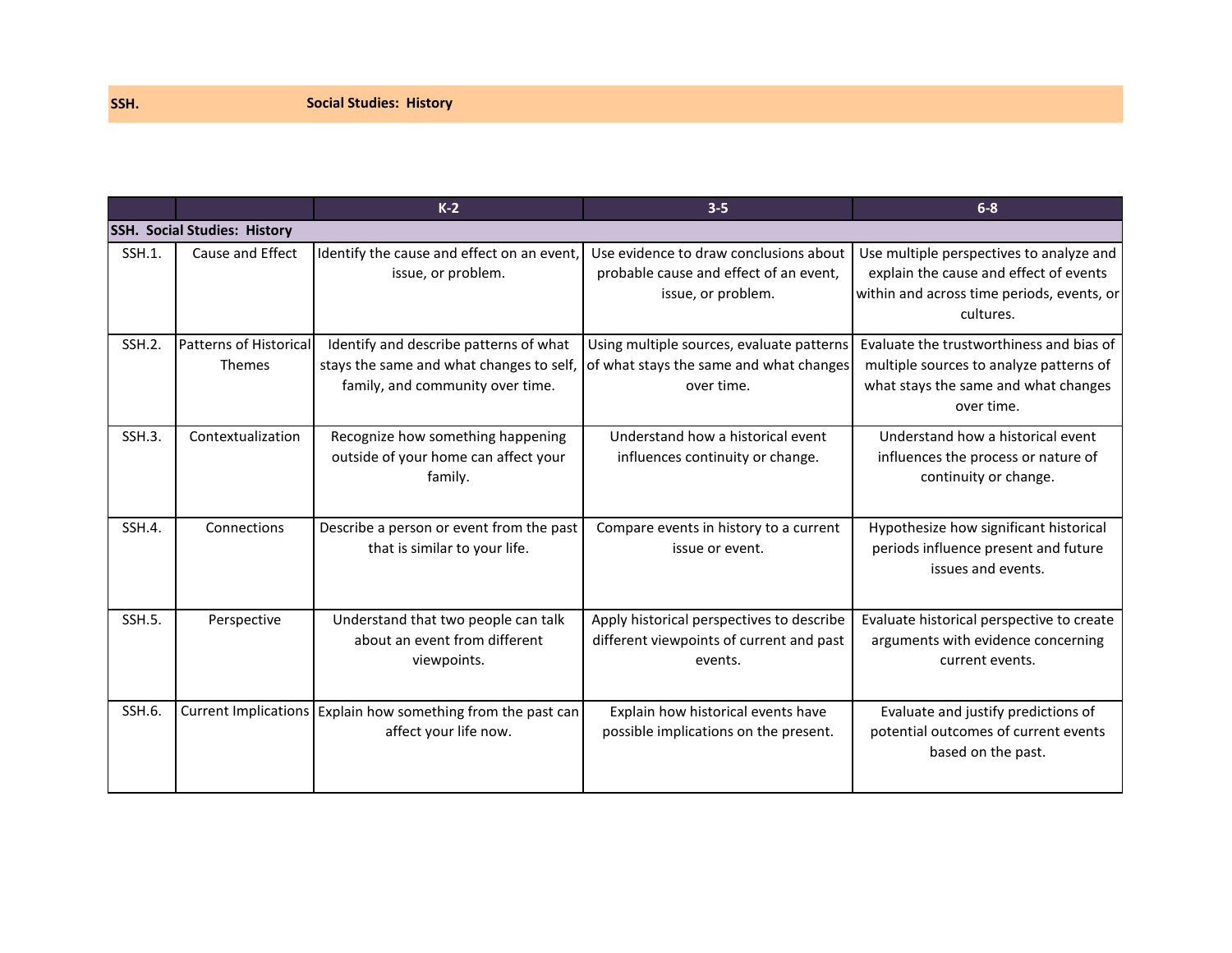|           |                                     | $K-2$                                                                                                                  | $3 - 5$                                                                                                | $6 - 8$                                                                                                                                       |
|-----------|-------------------------------------|------------------------------------------------------------------------------------------------------------------------|--------------------------------------------------------------------------------------------------------|-----------------------------------------------------------------------------------------------------------------------------------------------|
|           | <b>SSH. Social Studies: History</b> |                                                                                                                        |                                                                                                        |                                                                                                                                               |
| $SSH.1$ . | Cause and Effect                    | Identify the cause and effect on an event,<br>issue, or problem.                                                       | Use evidence to draw conclusions about<br>probable cause and effect of an event,<br>issue, or problem. | Use multiple perspectives to analyze and<br>explain the cause and effect of events<br>within and across time periods, events, or<br>cultures. |
| $SSH.2$ . | Patterns of Historical<br>Themes    | Identify and describe patterns of what<br>stays the same and what changes to self,<br>family, and community over time. | Using multiple sources, evaluate patterns<br>of what stays the same and what changes<br>over time.     | Evaluate the trustworthiness and bias of<br>multiple sources to analyze patterns of<br>what stays the same and what changes<br>over time.     |
| $SSH.3$ . | Contextualization                   | Recognize how something happening<br>outside of your home can affect your<br>family.                                   | Understand how a historical event<br>influences continuity or change.                                  | Understand how a historical event<br>influences the process or nature of<br>continuity or change.                                             |
| SSH.4.    | Connections                         | Describe a person or event from the past<br>that is similar to your life.                                              | Compare events in history to a current<br>issue or event.                                              | Hypothesize how significant historical<br>periods influence present and future<br>issues and events.                                          |
| $SSH.5$ . | Perspective                         | Understand that two people can talk<br>about an event from different<br>viewpoints.                                    | Apply historical perspectives to describe<br>different viewpoints of current and past<br>events.       | Evaluate historical perspective to create<br>arguments with evidence concerning<br>current events.                                            |
| SSH.6.    |                                     | Current Implications Explain how something from the past can<br>affect your life now.                                  | Explain how historical events have<br>possible implications on the present.                            | Evaluate and justify predictions of<br>potential outcomes of current events<br>based on the past.                                             |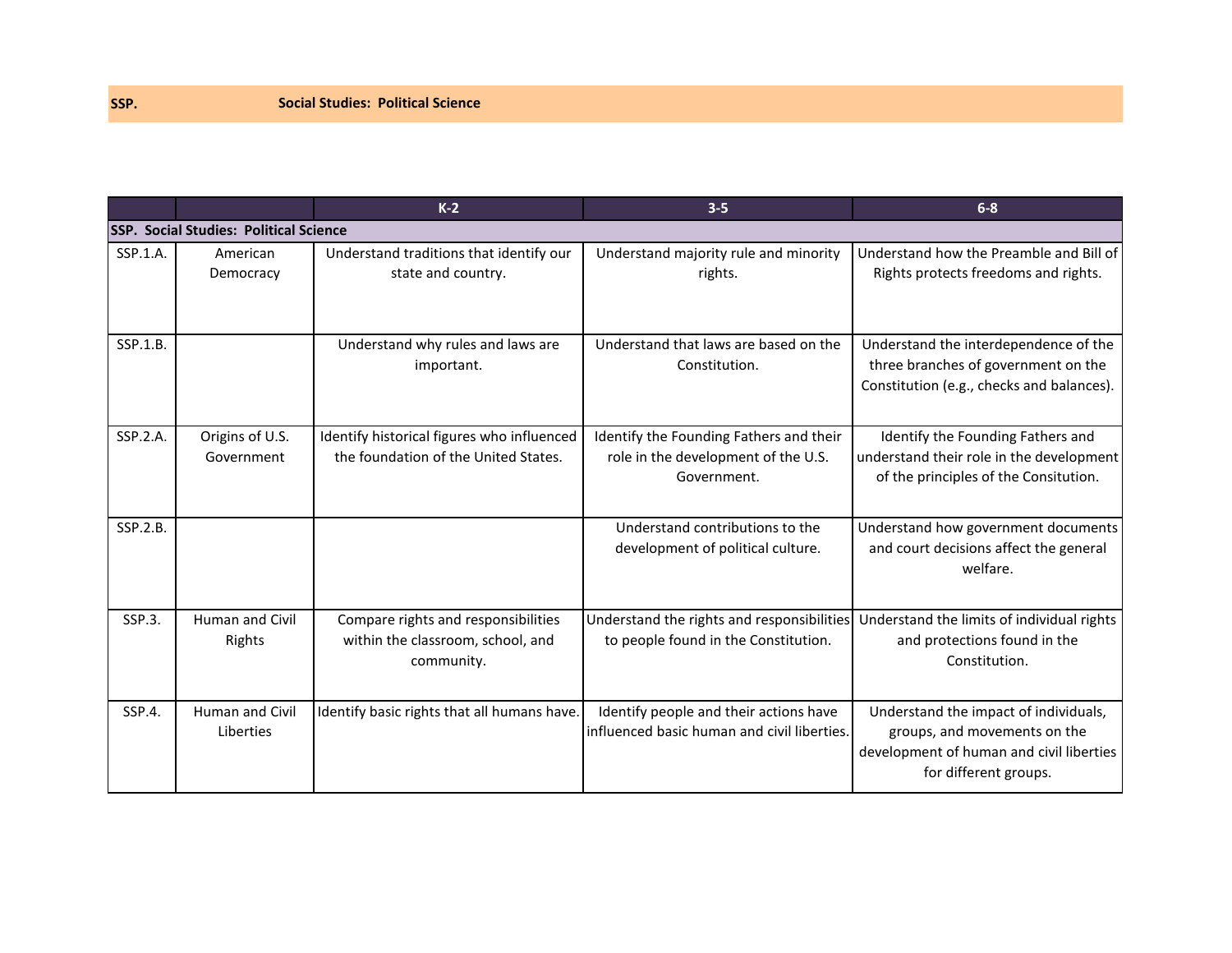|          |                                               | $K-2$                                                                                  | $3 - 5$                                                                                       | $6 - 8$                                                                                                                                    |
|----------|-----------------------------------------------|----------------------------------------------------------------------------------------|-----------------------------------------------------------------------------------------------|--------------------------------------------------------------------------------------------------------------------------------------------|
|          | <b>SSP. Social Studies: Political Science</b> |                                                                                        |                                                                                               |                                                                                                                                            |
| SSP.1.A. | American<br>Democracy                         | Understand traditions that identify our<br>state and country.                          | Understand majority rule and minority<br>rights.                                              | Understand how the Preamble and Bill of<br>Rights protects freedoms and rights.                                                            |
| SSP.1.B. |                                               | Understand why rules and laws are<br>important.                                        | Understand that laws are based on the<br>Constitution.                                        | Understand the interdependence of the<br>three branches of government on the<br>Constitution (e.g., checks and balances).                  |
| SSP.2.A. | Origins of U.S.<br>Government                 | Identify historical figures who influenced<br>the foundation of the United States.     | Identify the Founding Fathers and their<br>role in the development of the U.S.<br>Government. | Identify the Founding Fathers and<br>understand their role in the development<br>of the principles of the Consitution.                     |
| SSP.2.B. |                                               |                                                                                        | Understand contributions to the<br>development of political culture.                          | Understand how government documents<br>and court decisions affect the general<br>welfare.                                                  |
| SSP.3.   | <b>Human and Civil</b><br>Rights              | Compare rights and responsibilities<br>within the classroom, school, and<br>community. | Understand the rights and responsibilities<br>to people found in the Constitution.            | Understand the limits of individual rights<br>and protections found in the<br>Constitution.                                                |
| SSP.4.   | Human and Civil<br>Liberties                  | Identify basic rights that all humans have.                                            | Identify people and their actions have<br>influenced basic human and civil liberties.         | Understand the impact of individuals,<br>groups, and movements on the<br>development of human and civil liberties<br>for different groups. |